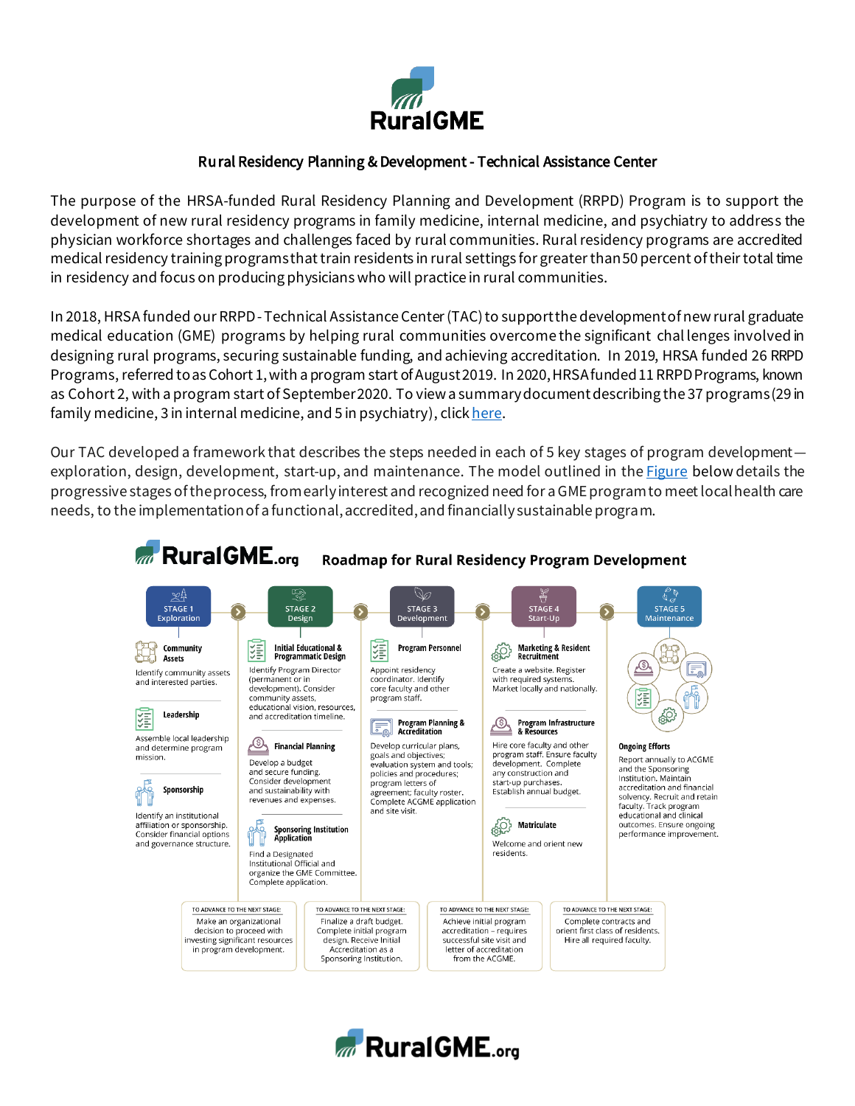

## Rural Residency Planning & Development - Technical Assistance Center

The purpose of the HRSA-funded Rural Residency Planning and Development (RRPD) Program is to support the development of new rural residency programs in family medicine, internal medicine, and psychiatry to address the physician workforce shortages and challenges faced by rural communities. Rural residency programs are accredited medical residency training programs that train residents in rural settings for greater than 50 percent of their total time in residency and focus on producing physicians who will practice in rural communities.

In 2018, HRSA funded our RRPD -Technical Assistance Center (TAC) to support the development of new rural graduate medical education (GME) programs by helping rural communities overcome the significant chal lenges involved in designing rural programs, securing sustainable funding, and achieving accreditation. In 2019, HRSA funded 26 RRPD Programs, referred to as Cohort 1, with a program start of August 2019. In 2020, HRSA funded 11 RRPD Programs, known as Cohort 2, with a program start of September 2020. To view a summary documentdescribing the 37 programs (29 in family medicine, 3 in internal medicine, and 5 in psychiatry), clic[k here](https://www.ruralgme.org/wp-content/uploads/2020/11/Program-Summaries-by-State-Cohort1-2020-11-18.pdf).

Our TAC developed a framework that describes the steps needed in each of 5 key stages of program development— exploration, design, development, start-up, and maintenance. The model outlined in the [Figure](https://doi.org/10.4300/JGME-D-19-00932.1) below details the progressive stages of the process, from early interest and recognized need for a GME program to meet local health care needs, to the implementation of a functional, accredited, and financially sustainable program.